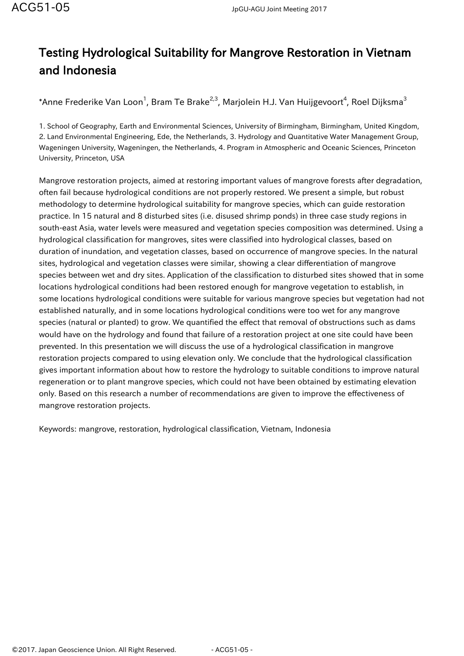## Testing Hydrological Suitability for Mangrove Restoration in Vietnam and Indonesia

\*Anne Frederike Van Loon $^1$ , Bram Te Brake $^{2,3}$ , Marjolein H.J. Van Huijgevoort $^4$ , Roel Dijksma $^3$ 

1. School of Geography, Earth and Environmental Sciences, University of Birmingham, Birmingham, United Kingdom, 2. Land Environmental Engineering, Ede, the Netherlands, 3. Hydrology and Quantitative Water Management Group, Wageningen University, Wageningen, the Netherlands, 4. Program in Atmospheric and Oceanic Sciences, Princeton University, Princeton, USA

Mangrove restoration projects, aimed at restoring important values of mangrove forests after degradation, often fail because hydrological conditions are not properly restored. We present a simple, but robust methodology to determine hydrological suitability for mangrove species, which can guide restoration practice. In 15 natural and 8 disturbed sites (i.e. disused shrimp ponds) in three case study regions in south-east Asia, water levels were measured and vegetation species composition was determined. Using a hydrological classification for mangroves, sites were classified into hydrological classes, based on duration of inundation, and vegetation classes, based on occurrence of mangrove species. In the natural sites, hydrological and vegetation classes were similar, showing a clear differentiation of mangrove species between wet and dry sites. Application of the classification to disturbed sites showed that in some locations hydrological conditions had been restored enough for mangrove vegetation to establish, in some locations hydrological conditions were suitable for various mangrove species but vegetation had not established naturally, and in some locations hydrological conditions were too wet for any mangrove species (natural or planted) to grow. We quantified the effect that removal of obstructions such as dams would have on the hydrology and found that failure of a restoration project at one site could have been prevented. In this presentation we will discuss the use of a hydrological classification in mangrove restoration projects compared to using elevation only. We conclude that the hydrological classification gives important information about how to restore the hydrology to suitable conditions to improve natural regeneration or to plant mangrove species, which could not have been obtained by estimating elevation only. Based on this research a number of recommendations are given to improve the effectiveness of mangrove restoration projects.

Keywords: mangrove, restoration, hydrological classification, Vietnam, Indonesia